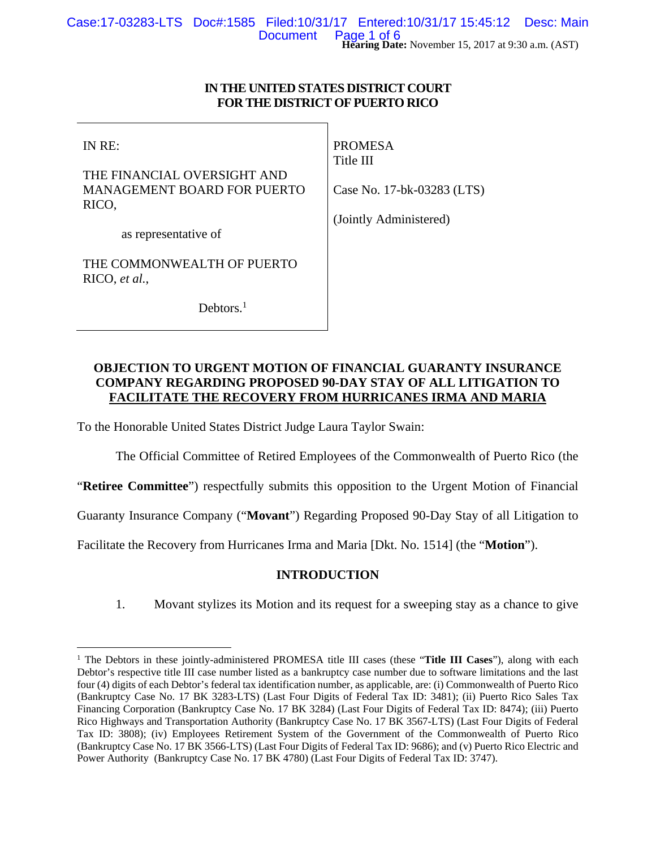### **IN THE UNITED STATES DISTRICT COURT FOR THE DISTRICT OF PUERTO RICO**

IN RE:

 $\overline{a}$ 

THE FINANCIAL OVERSIGHT AND MANAGEMENT BOARD FOR PUERTO RICO,

PROMESA Title III

Case No. 17-bk-03283 (LTS)

as representative of

THE COMMONWEALTH OF PUERTO RICO, *et al.*,

Debtors.<sup>1</sup>

(Jointly Administered)

# **OBJECTION TO URGENT MOTION OF FINANCIAL GUARANTY INSURANCE COMPANY REGARDING PROPOSED 90-DAY STAY OF ALL LITIGATION TO FACILITATE THE RECOVERY FROM HURRICANES IRMA AND MARIA**

To the Honorable United States District Judge Laura Taylor Swain:

The Official Committee of Retired Employees of the Commonwealth of Puerto Rico (the

"**Retiree Committee**") respectfully submits this opposition to the Urgent Motion of Financial

Guaranty Insurance Company ("**Movant**") Regarding Proposed 90-Day Stay of all Litigation to

Facilitate the Recovery from Hurricanes Irma and Maria [Dkt. No. 1514] (the "**Motion**").

# **INTRODUCTION**

1. Movant stylizes its Motion and its request for a sweeping stay as a chance to give

<sup>&</sup>lt;sup>1</sup> The Debtors in these jointly-administered PROMESA title III cases (these "Title III Cases"), along with each Debtor's respective title III case number listed as a bankruptcy case number due to software limitations and the last four (4) digits of each Debtor's federal tax identification number, as applicable, are: (i) Commonwealth of Puerto Rico (Bankruptcy Case No. 17 BK 3283-LTS) (Last Four Digits of Federal Tax ID: 3481); (ii) Puerto Rico Sales Tax Financing Corporation (Bankruptcy Case No. 17 BK 3284) (Last Four Digits of Federal Tax ID: 8474); (iii) Puerto Rico Highways and Transportation Authority (Bankruptcy Case No. 17 BK 3567-LTS) (Last Four Digits of Federal Tax ID: 3808); (iv) Employees Retirement System of the Government of the Commonwealth of Puerto Rico (Bankruptcy Case No. 17 BK 3566-LTS) (Last Four Digits of Federal Tax ID: 9686); and (v) Puerto Rico Electric and Power Authority (Bankruptcy Case No. 17 BK 4780) (Last Four Digits of Federal Tax ID: 3747).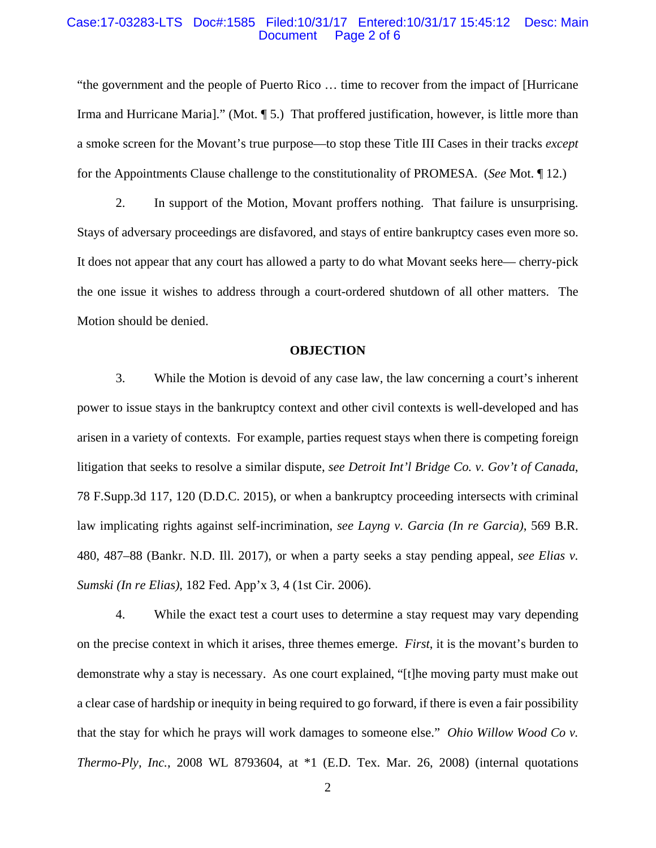#### Case:17-03283-LTS Doc#:1585 Filed:10/31/17 Entered:10/31/17 15:45:12 Desc: Main Page 2 of 6

"the government and the people of Puerto Rico … time to recover from the impact of [Hurricane Irma and Hurricane Maria]." (Mot. ¶ 5.) That proffered justification, however, is little more than a smoke screen for the Movant's true purpose—to stop these Title III Cases in their tracks *except* for the Appointments Clause challenge to the constitutionality of PROMESA. (*See* Mot. ¶ 12.)

2. In support of the Motion, Movant proffers nothing. That failure is unsurprising. Stays of adversary proceedings are disfavored, and stays of entire bankruptcy cases even more so. It does not appear that any court has allowed a party to do what Movant seeks here— cherry-pick the one issue it wishes to address through a court-ordered shutdown of all other matters. The Motion should be denied.

#### **OBJECTION**

3. While the Motion is devoid of any case law, the law concerning a court's inherent power to issue stays in the bankruptcy context and other civil contexts is well-developed and has arisen in a variety of contexts. For example, parties request stays when there is competing foreign litigation that seeks to resolve a similar dispute, *see Detroit Int'l Bridge Co. v. Gov't of Canada*, 78 F.Supp.3d 117, 120 (D.D.C. 2015), or when a bankruptcy proceeding intersects with criminal law implicating rights against self-incrimination, *see Layng v. Garcia (In re Garcia)*, 569 B.R. 480, 487–88 (Bankr. N.D. Ill. 2017), or when a party seeks a stay pending appeal, *see Elias v. Sumski (In re Elias)*, 182 Fed. App'x 3, 4 (1st Cir. 2006).

4. While the exact test a court uses to determine a stay request may vary depending on the precise context in which it arises, three themes emerge. *First*, it is the movant's burden to demonstrate why a stay is necessary. As one court explained, "[t]he moving party must make out a clear case of hardship or inequity in being required to go forward, if there is even a fair possibility that the stay for which he prays will work damages to someone else." *Ohio Willow Wood Co v. Thermo-Ply, Inc.*, 2008 WL 8793604, at \*1 (E.D. Tex. Mar. 26, 2008) (internal quotations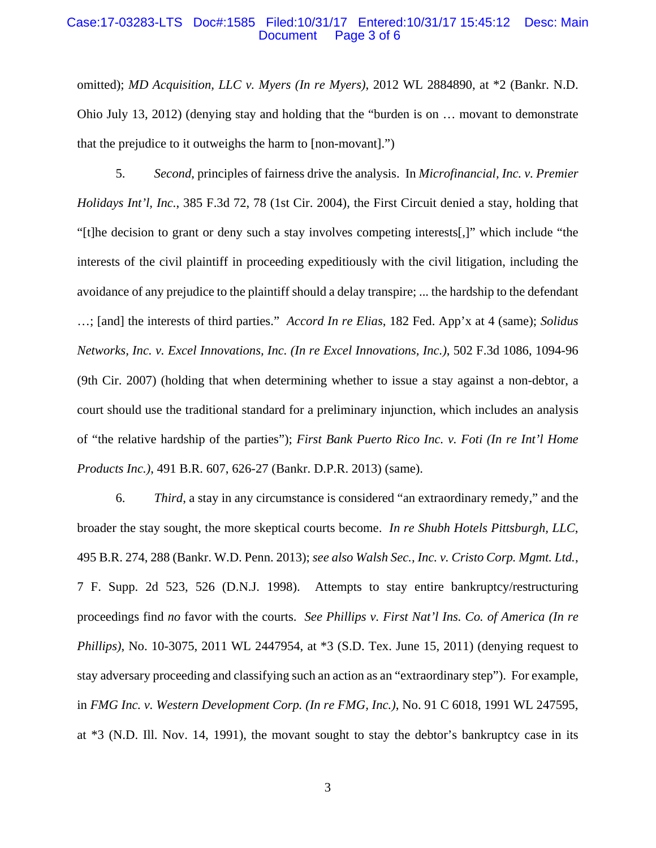#### Case:17-03283-LTS Doc#:1585 Filed:10/31/17 Entered:10/31/17 15:45:12 Desc: Main Page 3 of 6

omitted); *MD Acquisition, LLC v. Myers (In re Myers)*, 2012 WL 2884890, at \*2 (Bankr. N.D. Ohio July 13, 2012) (denying stay and holding that the "burden is on … movant to demonstrate that the prejudice to it outweighs the harm to [non-movant].")

5. *Second*, principles of fairness drive the analysis. In *Microfinancial, Inc. v. Premier Holidays Int'l, Inc.*, 385 F.3d 72, 78 (1st Cir. 2004), the First Circuit denied a stay, holding that "[t]he decision to grant or deny such a stay involves competing interests[,]" which include "the interests of the civil plaintiff in proceeding expeditiously with the civil litigation, including the avoidance of any prejudice to the plaintiff should a delay transpire; ... the hardship to the defendant …; [and] the interests of third parties." *Accord In re Elias*, 182 Fed. App'x at 4 (same); *Solidus Networks, Inc. v. Excel Innovations, Inc. (In re Excel Innovations, Inc.)*, 502 F.3d 1086, 1094-96 (9th Cir. 2007) (holding that when determining whether to issue a stay against a non-debtor, a court should use the traditional standard for a preliminary injunction, which includes an analysis of "the relative hardship of the parties"); *First Bank Puerto Rico Inc. v. Foti (In re Int'l Home Products Inc.)*, 491 B.R. 607, 626-27 (Bankr. D.P.R. 2013) (same).

6. *Third*, a stay in any circumstance is considered "an extraordinary remedy," and the broader the stay sought, the more skeptical courts become. *In re Shubh Hotels Pittsburgh, LLC*, 495 B.R. 274, 288 (Bankr. W.D. Penn. 2013); *see also Walsh Sec., Inc. v. Cristo Corp. Mgmt. Ltd.*, 7 F. Supp. 2d 523, 526 (D.N.J. 1998). Attempts to stay entire bankruptcy/restructuring proceedings find *no* favor with the courts. *See Phillips v. First Nat'l Ins. Co. of America (In re Phillips*), No. 10-3075, 2011 WL 2447954, at  $*3$  (S.D. Tex. June 15, 2011) (denying request to stay adversary proceeding and classifying such an action as an "extraordinary step"). For example, in *FMG Inc. v. Western Development Corp. (In re FMG, Inc.)*, No. 91 C 6018, 1991 WL 247595, at \*3 (N.D. Ill. Nov. 14, 1991), the movant sought to stay the debtor's bankruptcy case in its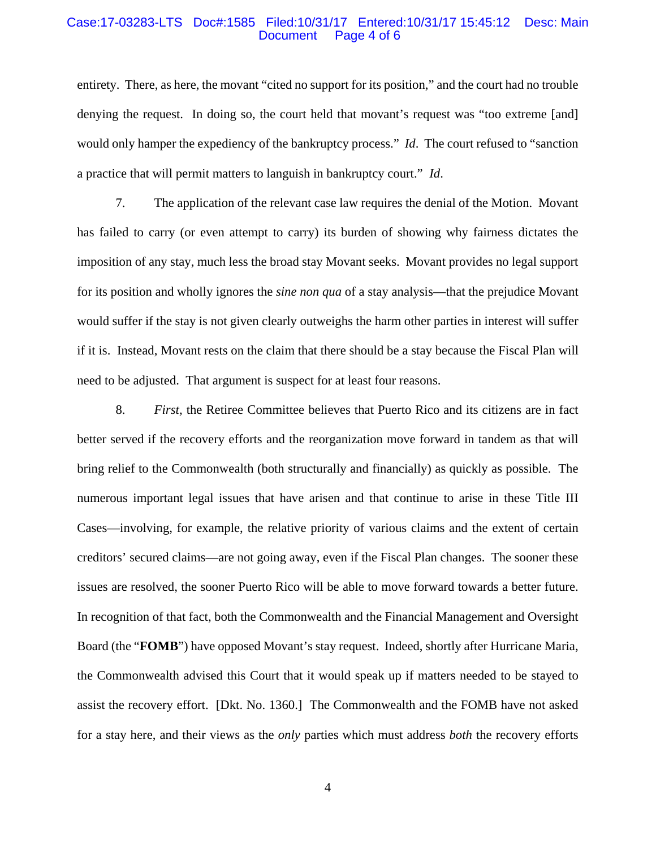#### Case:17-03283-LTS Doc#:1585 Filed:10/31/17 Entered:10/31/17 15:45:12 Desc: Main Page 4 of 6

entirety. There, as here, the movant "cited no support for its position," and the court had no trouble denying the request. In doing so, the court held that movant's request was "too extreme [and] would only hamper the expediency of the bankruptcy process." *Id*. The court refused to "sanction a practice that will permit matters to languish in bankruptcy court." *Id*.

7. The application of the relevant case law requires the denial of the Motion. Movant has failed to carry (or even attempt to carry) its burden of showing why fairness dictates the imposition of any stay, much less the broad stay Movant seeks. Movant provides no legal support for its position and wholly ignores the *sine non qua* of a stay analysis—that the prejudice Movant would suffer if the stay is not given clearly outweighs the harm other parties in interest will suffer if it is. Instead, Movant rests on the claim that there should be a stay because the Fiscal Plan will need to be adjusted. That argument is suspect for at least four reasons.

8. *First,* the Retiree Committee believes that Puerto Rico and its citizens are in fact better served if the recovery efforts and the reorganization move forward in tandem as that will bring relief to the Commonwealth (both structurally and financially) as quickly as possible. The numerous important legal issues that have arisen and that continue to arise in these Title III Cases—involving, for example, the relative priority of various claims and the extent of certain creditors' secured claims—are not going away, even if the Fiscal Plan changes. The sooner these issues are resolved, the sooner Puerto Rico will be able to move forward towards a better future. In recognition of that fact, both the Commonwealth and the Financial Management and Oversight Board (the "**FOMB**") have opposed Movant's stay request. Indeed, shortly after Hurricane Maria, the Commonwealth advised this Court that it would speak up if matters needed to be stayed to assist the recovery effort. [Dkt. No. 1360.] The Commonwealth and the FOMB have not asked for a stay here, and their views as the *only* parties which must address *both* the recovery efforts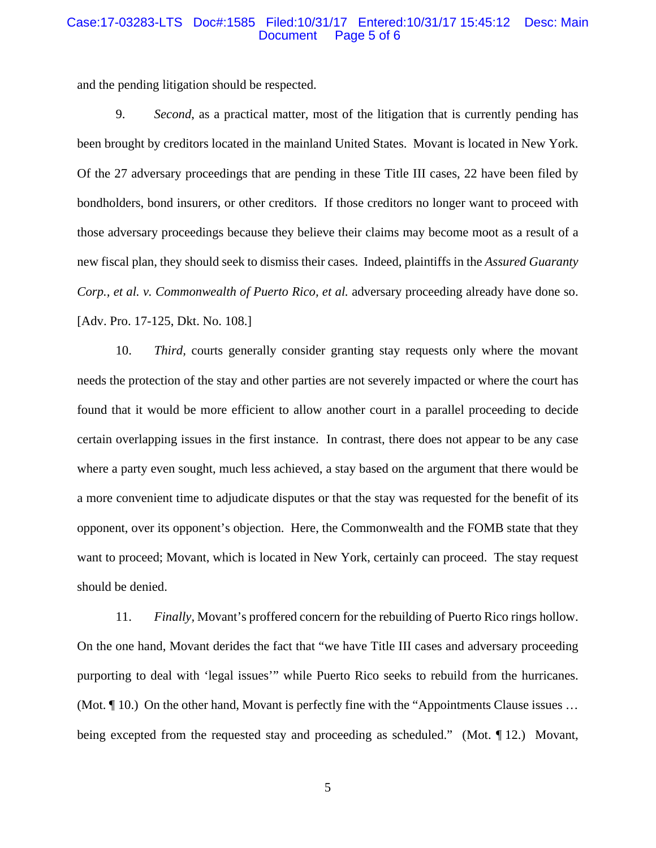#### Case:17-03283-LTS Doc#:1585 Filed:10/31/17 Entered:10/31/17 15:45:12 Desc: Main Page 5 of 6

and the pending litigation should be respected.

9. *Second*, as a practical matter, most of the litigation that is currently pending has been brought by creditors located in the mainland United States. Movant is located in New York. Of the 27 adversary proceedings that are pending in these Title III cases, 22 have been filed by bondholders, bond insurers, or other creditors. If those creditors no longer want to proceed with those adversary proceedings because they believe their claims may become moot as a result of a new fiscal plan, they should seek to dismiss their cases. Indeed, plaintiffs in the *Assured Guaranty Corp., et al. v. Commonwealth of Puerto Rico, et al. adversary proceeding already have done so.* [Adv. Pro. 17-125, Dkt. No. 108.]

10. *Third,* courts generally consider granting stay requests only where the movant needs the protection of the stay and other parties are not severely impacted or where the court has found that it would be more efficient to allow another court in a parallel proceeding to decide certain overlapping issues in the first instance. In contrast, there does not appear to be any case where a party even sought, much less achieved, a stay based on the argument that there would be a more convenient time to adjudicate disputes or that the stay was requested for the benefit of its opponent, over its opponent's objection. Here, the Commonwealth and the FOMB state that they want to proceed; Movant, which is located in New York, certainly can proceed. The stay request should be denied.

11. *Finally,* Movant's proffered concern for the rebuilding of Puerto Rico rings hollow. On the one hand, Movant derides the fact that "we have Title III cases and adversary proceeding purporting to deal with 'legal issues'" while Puerto Rico seeks to rebuild from the hurricanes. (Mot. ¶ 10.) On the other hand, Movant is perfectly fine with the "Appointments Clause issues … being excepted from the requested stay and proceeding as scheduled." (Mot. 112.) Movant,

5